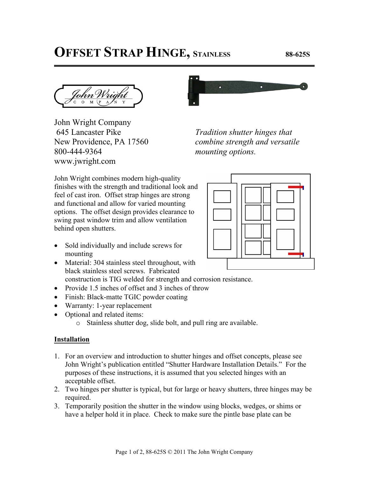## **OFFSET STRAP HINGE, STAINLESS 88-625S**

John Wright Company 645 Lancaster Pike New Providence, PA 17560 800-444-9364 www.jwright.com



*Tradition shutter hinges that combine strength and versatile mounting options.* 

John Wright combines modern high-quality finishes with the strength and traditional look and feel of cast iron. Offset strap hinges are strong and functional and allow for varied mounting options. The offset design provides clearance to swing past window trim and allow ventilation behind open shutters.



- Sold individually and include screws for mounting
- Material: 304 stainless steel throughout, with black stainless steel screws. Fabricated construction is TIG welded for strength and corrosion resistance.
- Provide 1.5 inches of offset and 3 inches of throw
- Finish: Black-matte TGIC powder coating
- Warranty: 1-year replacement
- Optional and related items:
	- o Stainless shutter dog, slide bolt, and pull ring are available.

## **Installation**

- 1. For an overview and introduction to shutter hinges and offset concepts, please see John Wright's publication entitled "Shutter Hardware Installation Details." For the purposes of these instructions, it is assumed that you selected hinges with an acceptable offset.
- 2. Two hinges per shutter is typical, but for large or heavy shutters, three hinges may be required.
- 3. Temporarily position the shutter in the window using blocks, wedges, or shims or have a helper hold it in place. Check to make sure the pintle base plate can be